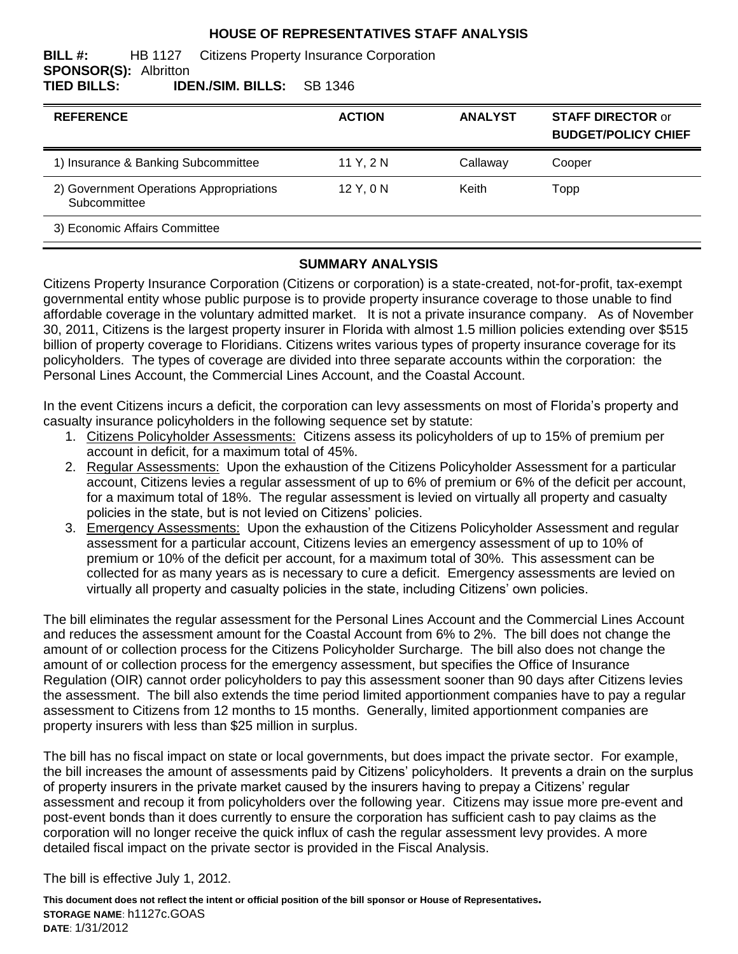#### **HOUSE OF REPRESENTATIVES STAFF ANALYSIS**

#### **BILL #:** HB 1127 Citizens Property Insurance Corporation **SPONSOR(S):** Albritton **TIED BILLS: IDEN./SIM. BILLS:** SB 1346

| <b>REFERENCE</b>                                        | <b>ACTION</b> | <b>ANALYST</b> | <b>STAFF DIRECTOR or</b><br><b>BUDGET/POLICY CHIEF</b> |
|---------------------------------------------------------|---------------|----------------|--------------------------------------------------------|
| 1) Insurance & Banking Subcommittee                     | 11 Y, 2 N     | Callaway       | Cooper                                                 |
| 2) Government Operations Appropriations<br>Subcommittee | $12$ Y, 0 N   | Keith          | Topp                                                   |
| 3) Economic Affairs Committee                           |               |                |                                                        |

#### **SUMMARY ANALYSIS**

Citizens Property Insurance Corporation (Citizens or corporation) is a state-created, not-for-profit, tax-exempt governmental entity whose public purpose is to provide property insurance coverage to those unable to find affordable coverage in the voluntary admitted market. It is not a private insurance company. As of November 30, 2011, Citizens is the largest property insurer in Florida with almost 1.5 million policies extending over \$515 billion of property coverage to Floridians. Citizens writes various types of property insurance coverage for its policyholders. The types of coverage are divided into three separate accounts within the corporation: the Personal Lines Account, the Commercial Lines Account, and the Coastal Account.

In the event Citizens incurs a deficit, the corporation can levy assessments on most of Florida's property and casualty insurance policyholders in the following sequence set by statute:

- 1. Citizens Policyholder Assessments: Citizens assess its policyholders of up to 15% of premium per account in deficit, for a maximum total of 45%.
- 2. Regular Assessments:Upon the exhaustion of the Citizens Policyholder Assessment for a particular account, Citizens levies a regular assessment of up to 6% of premium or 6% of the deficit per account, for a maximum total of 18%. The regular assessment is levied on virtually all property and casualty policies in the state, but is not levied on Citizens' policies.
- 3. Emergency Assessments:Upon the exhaustion of the Citizens Policyholder Assessment and regular assessment for a particular account, Citizens levies an emergency assessment of up to 10% of premium or 10% of the deficit per account, for a maximum total of 30%. This assessment can be collected for as many years as is necessary to cure a deficit. Emergency assessments are levied on virtually all property and casualty policies in the state, including Citizens' own policies.

The bill eliminates the regular assessment for the Personal Lines Account and the Commercial Lines Account and reduces the assessment amount for the Coastal Account from 6% to 2%. The bill does not change the amount of or collection process for the Citizens Policyholder Surcharge. The bill also does not change the amount of or collection process for the emergency assessment, but specifies the Office of Insurance Regulation (OIR) cannot order policyholders to pay this assessment sooner than 90 days after Citizens levies the assessment. The bill also extends the time period limited apportionment companies have to pay a regular assessment to Citizens from 12 months to 15 months. Generally, limited apportionment companies are property insurers with less than \$25 million in surplus.

The bill has no fiscal impact on state or local governments, but does impact the private sector. For example, the bill increases the amount of assessments paid by Citizens' policyholders. It prevents a drain on the surplus of property insurers in the private market caused by the insurers having to prepay a Citizens' regular assessment and recoup it from policyholders over the following year. Citizens may issue more pre-event and post-event bonds than it does currently to ensure the corporation has sufficient cash to pay claims as the corporation will no longer receive the quick influx of cash the regular assessment levy provides. A more detailed fiscal impact on the private sector is provided in the Fiscal Analysis.

The bill is effective July 1, 2012.

**This document does not reflect the intent or official position of the bill sponsor or House of Representatives***.* **STORAGE NAME**: h1127c.GOAS **DATE**: 1/31/2012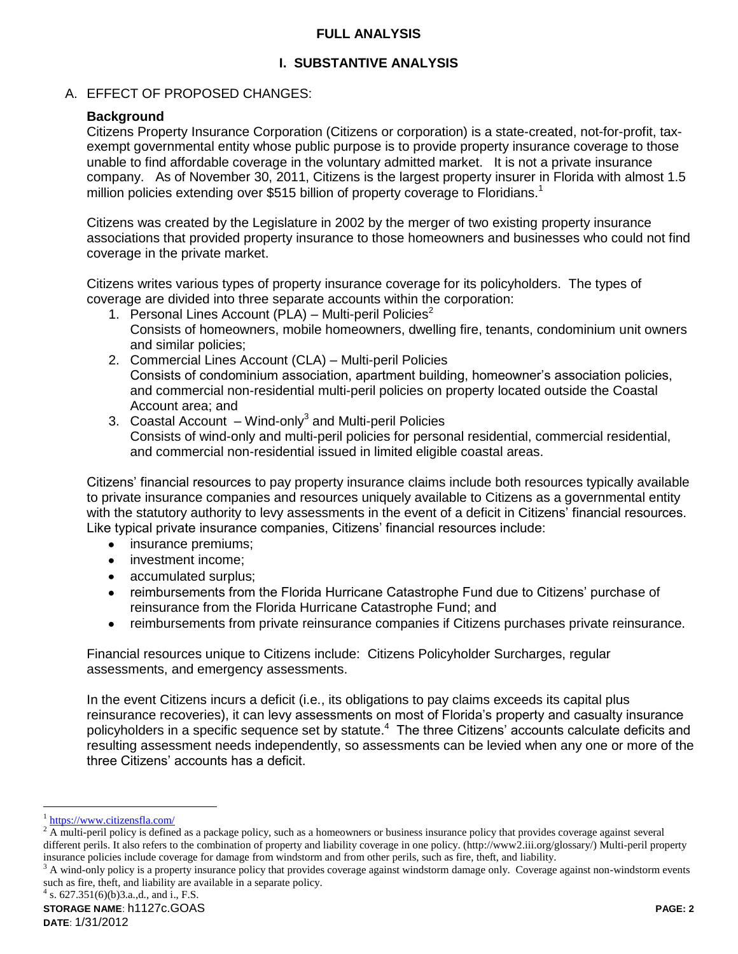#### **FULL ANALYSIS**

# **I. SUBSTANTIVE ANALYSIS**

## A. EFFECT OF PROPOSED CHANGES:

# **Background**

Citizens Property Insurance Corporation (Citizens or corporation) is a state-created, not-for-profit, taxexempt governmental entity whose public purpose is to provide property insurance coverage to those unable to find affordable coverage in the voluntary admitted market. It is not a private insurance company. As of November 30, 2011, Citizens is the largest property insurer in Florida with almost 1.5 million policies extending over \$515 billion of property coverage to Floridians.<sup>1</sup>

Citizens was created by the Legislature in 2002 by the merger of two existing property insurance associations that provided property insurance to those homeowners and businesses who could not find coverage in the private market.

Citizens writes various types of property insurance coverage for its policyholders. The types of coverage are divided into three separate accounts within the corporation:

- 1. Personal Lines Account (PLA) Multi-peril Policies<sup>2</sup> Consists of homeowners, mobile homeowners, dwelling fire, tenants, condominium unit owners and similar policies;
- 2. Commercial Lines Account (CLA) Multi-peril Policies Consists of condominium association, apartment building, homeowner's association policies, and commercial non-residential multi-peril policies on property located outside the Coastal Account area; and
- 3. Coastal Account Wind-only<sup>3</sup> and Multi-peril Policies Consists of wind-only and multi-peril policies for personal residential, commercial residential, and commercial non-residential issued in limited eligible coastal areas.

Citizens' financial resources to pay property insurance claims include both resources typically available to private insurance companies and resources uniquely available to Citizens as a governmental entity with the statutory authority to levy assessments in the event of a deficit in Citizens' financial resources. Like typical private insurance companies, Citizens' financial resources include:

- insurance premiums;  $\bullet$
- investment income;
- accumulated surplus;  $\bullet$
- reimbursements from the Florida Hurricane Catastrophe Fund due to Citizens' purchase of  $\bullet$ reinsurance from the Florida Hurricane Catastrophe Fund; and
- reimbursements from private reinsurance companies if Citizens purchases private reinsurance.  $\bullet$

Financial resources unique to Citizens include: Citizens Policyholder Surcharges, regular assessments, and emergency assessments.

In the event Citizens incurs a deficit (i.e., its obligations to pay claims exceeds its capital plus reinsurance recoveries), it can levy assessments on most of Florida's property and casualty insurance policyholders in a specific sequence set by statute.<sup>4</sup> The three Citizens' accounts calculate deficits and resulting assessment needs independently, so assessments can be levied when any one or more of the three Citizens' accounts has a deficit.

 $\overline{a}$ 

<sup>&</sup>lt;sup>1</sup> <https://www.citizensfla.com/>

<sup>2</sup> A multi-peril policy is defined as a package policy, such as a homeowners or business insurance policy that provides coverage against several different perils. It also refers to the combination of property and liability coverage in one policy. (http://www2.iii.org/glossary/) Multi-peril property insurance policies include coverage for damage from windstorm and from other perils, such as fire, theft, and liability.

 $3$  A wind-only policy is a property insurance policy that provides coverage against windstorm damage only. Coverage against non-windstorm events such as fire, theft, and liability are available in a separate policy.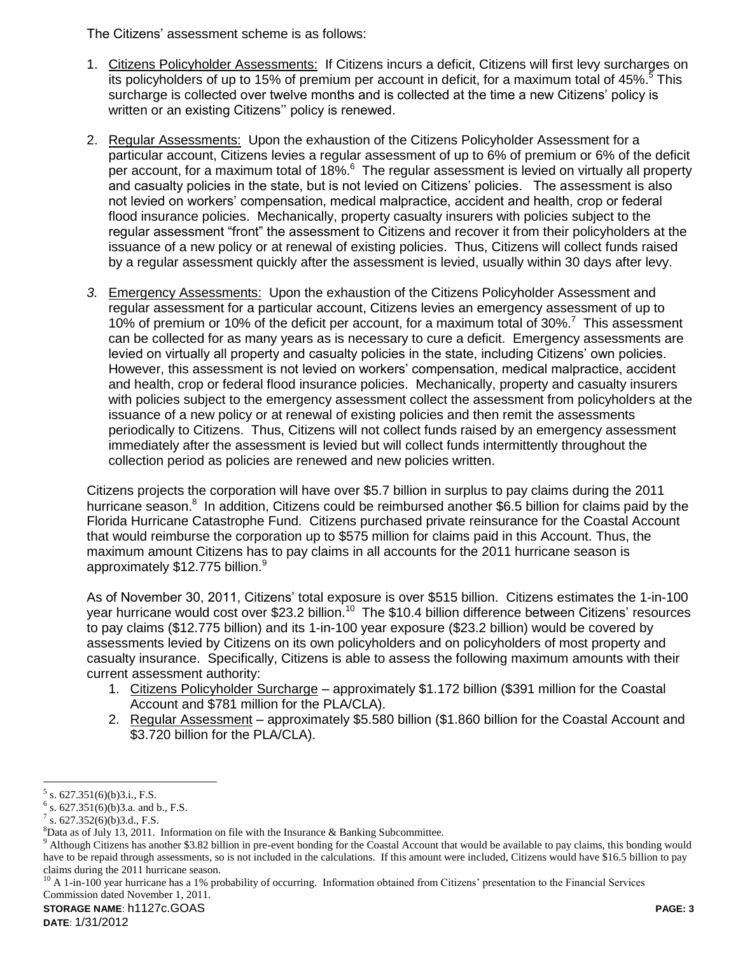The Citizens' assessment scheme is as follows:

- 1. Citizens Policyholder Assessments: If Citizens incurs a deficit, Citizens will first levy surcharges on its policyholders of up to 15% of premium per account in deficit, for a maximum total of 45%.<sup>5</sup> This surcharge is collected over twelve months and is collected at the time a new Citizens' policy is written or an existing Citizens'' policy is renewed.
- 2. Regular Assessments:Upon the exhaustion of the Citizens Policyholder Assessment for a particular account, Citizens levies a regular assessment of up to 6% of premium or 6% of the deficit per account, for a maximum total of 18%.<sup>6</sup> The regular assessment is levied on virtually all property and casualty policies in the state, but is not levied on Citizens' policies. The assessment is also not levied on workers' compensation, medical malpractice, accident and health, crop or federal flood insurance policies. Mechanically, property casualty insurers with policies subject to the regular assessment "front" the assessment to Citizens and recover it from their policyholders at the issuance of a new policy or at renewal of existing policies. Thus, Citizens will collect funds raised by a regular assessment quickly after the assessment is levied, usually within 30 days after levy.
- *3.* Emergency Assessments: Upon the exhaustion of the Citizens Policyholder Assessment and regular assessment for a particular account, Citizens levies an emergency assessment of up to 10% of premium or 10% of the deficit per account, for a maximum total of 30%.<sup>7</sup> This assessment can be collected for as many years as is necessary to cure a deficit. Emergency assessments are levied on virtually all property and casualty policies in the state, including Citizens' own policies. However, this assessment is not levied on workers' compensation, medical malpractice, accident and health, crop or federal flood insurance policies. Mechanically, property and casualty insurers with policies subject to the emergency assessment collect the assessment from policyholders at the issuance of a new policy or at renewal of existing policies and then remit the assessments periodically to Citizens. Thus, Citizens will not collect funds raised by an emergency assessment immediately after the assessment is levied but will collect funds intermittently throughout the collection period as policies are renewed and new policies written.

Citizens projects the corporation will have over \$5.7 billion in surplus to pay claims during the 2011 hurricane season.<sup>8</sup> In addition, Citizens could be reimbursed another \$6.5 billion for claims paid by the Florida Hurricane Catastrophe Fund. Citizens purchased private reinsurance for the Coastal Account that would reimburse the corporation up to \$575 million for claims paid in this Account. Thus, the maximum amount Citizens has to pay claims in all accounts for the 2011 hurricane season is approximately \$12.775 billion.<sup>9</sup>

As of November 30, 2011, Citizens' total exposure is over \$515 billion. Citizens estimates the 1-in-100 year hurricane would cost over \$23.2 billion.<sup>10</sup> The \$10.4 billion difference between Citizens' resources to pay claims (\$12.775 billion) and its 1-in-100 year exposure (\$23.2 billion) would be covered by assessments levied by Citizens on its own policyholders and on policyholders of most property and casualty insurance. Specifically, Citizens is able to assess the following maximum amounts with their current assessment authority:

- 1. Citizens Policyholder Surcharge approximately \$1.172 billion (\$391 million for the Coastal Account and \$781 million for the PLA/CLA).
- 2. Regular Assessment approximately \$5.580 billion (\$1.860 billion for the Coastal Account and \$3.720 billion for the PLA/CLA).

**STORAGE NAME**: h1127c.GOAS **PAGE: 3**

**DATE**: 1/31/2012

 $\overline{a}$  $5$  s. 627.351(6)(b)3.i., F.S.

 $6$  s. 627.351(6)(b)3.a. and b., F.S.

 $7$  s. 627.352(6)(b)3.d., F.S.

 ${}^{8}$ Data as of July 13, 2011. Information on file with the Insurance & Banking Subcommittee.

<sup>&</sup>lt;sup>9</sup> Although Citizens has another \$3.82 billion in pre-event bonding for the Coastal Account that would be available to pay claims, this bonding would have to be repaid through assessments, so is not included in the calculations. If this amount were included, Citizens would have \$16.5 billion to pay claims during the 2011 hurricane season.

 $10$  A 1-in-100 year hurricane has a 1% probability of occurring. Information obtained from Citizens' presentation to the Financial Services Commission dated November 1, 2011.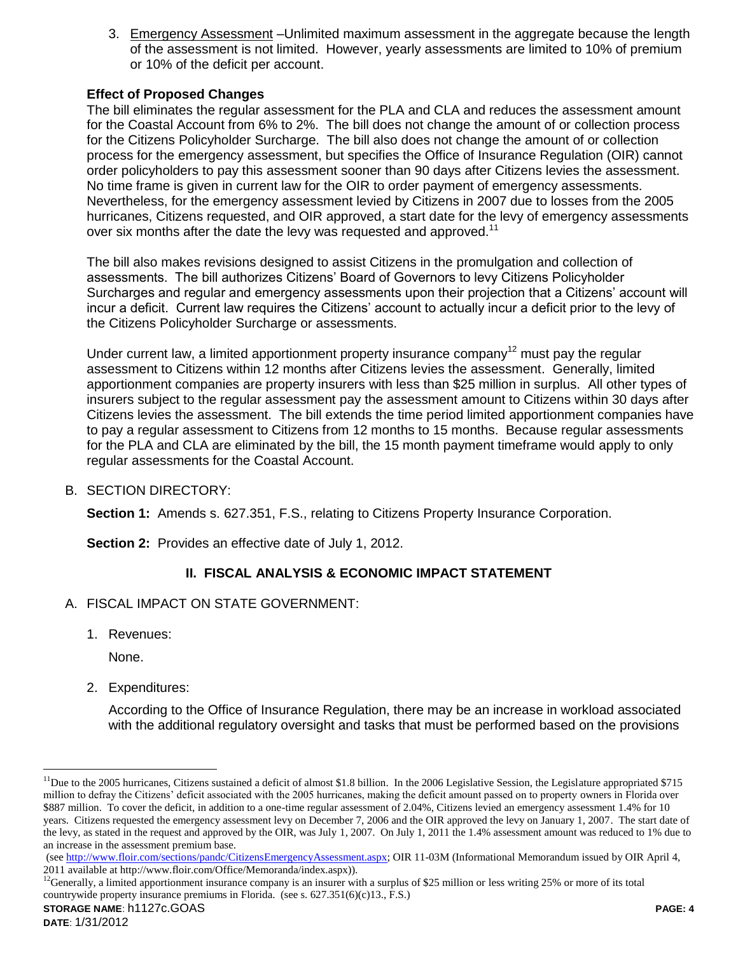3. Emergency Assessment –Unlimited maximum assessment in the aggregate because the length of the assessment is not limited. However, yearly assessments are limited to 10% of premium or 10% of the deficit per account.

# **Effect of Proposed Changes**

The bill eliminates the regular assessment for the PLA and CLA and reduces the assessment amount for the Coastal Account from 6% to 2%. The bill does not change the amount of or collection process for the Citizens Policyholder Surcharge. The bill also does not change the amount of or collection process for the emergency assessment, but specifies the Office of Insurance Regulation (OIR) cannot order policyholders to pay this assessment sooner than 90 days after Citizens levies the assessment. No time frame is given in current law for the OIR to order payment of emergency assessments. Nevertheless, for the emergency assessment levied by Citizens in 2007 due to losses from the 2005 hurricanes, Citizens requested, and OIR approved, a start date for the levy of emergency assessments over six months after the date the levy was requested and approved.<sup>11</sup>

The bill also makes revisions designed to assist Citizens in the promulgation and collection of assessments. The bill authorizes Citizens' Board of Governors to levy Citizens Policyholder Surcharges and regular and emergency assessments upon their projection that a Citizens' account will incur a deficit. Current law requires the Citizens' account to actually incur a deficit prior to the levy of the Citizens Policyholder Surcharge or assessments.

Under current law, a limited apportionment property insurance company<sup>12</sup> must pay the regular assessment to Citizens within 12 months after Citizens levies the assessment. Generally, limited apportionment companies are property insurers with less than \$25 million in surplus. All other types of insurers subject to the regular assessment pay the assessment amount to Citizens within 30 days after Citizens levies the assessment. The bill extends the time period limited apportionment companies have to pay a regular assessment to Citizens from 12 months to 15 months. Because regular assessments for the PLA and CLA are eliminated by the bill, the 15 month payment timeframe would apply to only regular assessments for the Coastal Account.

B. SECTION DIRECTORY:

**Section 1:** Amends s. 627.351, F.S., relating to Citizens Property Insurance Corporation.

**Section 2:** Provides an effective date of July 1, 2012.

# **II. FISCAL ANALYSIS & ECONOMIC IMPACT STATEMENT**

- A. FISCAL IMPACT ON STATE GOVERNMENT:
	- 1. Revenues:

None.

 $\overline{a}$ 

2. Expenditures:

According to the Office of Insurance Regulation, there may be an increase in workload associated with the additional regulatory oversight and tasks that must be performed based on the provisions

 $11$ Due to the 2005 hurricanes, Citizens sustained a deficit of almost \$1.8 billion. In the 2006 Legislative Session, the Legislature appropriated \$715 million to defray the Citizens' deficit associated with the 2005 hurricanes, making the deficit amount passed on to property owners in Florida over \$887 million. To cover the deficit, in addition to a one-time regular assessment of 2.04%, Citizens levied an emergency assessment 1.4% for 10 years. Citizens requested the emergency assessment levy on December 7, 2006 and the OIR approved the levy on January 1, 2007. The start date of the levy, as stated in the request and approved by the OIR, was July 1, 2007. On July 1, 2011 the 1.4% assessment amount was reduced to 1% due to an increase in the assessment premium base.

<sup>(</sup>see [http://www.floir.com/sections/pandc/CitizensEmergencyAssessment.aspx;](http://www.floir.com/sections/pandc/CitizensEmergencyAssessment.aspx) OIR 11-03M (Informational Memorandum issued by OIR April 4, 2011 available at http://www.floir.com/Office/Memoranda/index.aspx)).

 $^{12}$ Generally, a limited apportionment insurance company is an insurer with a surplus of \$25 million or less writing 25% or more of its total countrywide property insurance premiums in Florida. (see s. 627.351(6)(c)13., F.S.)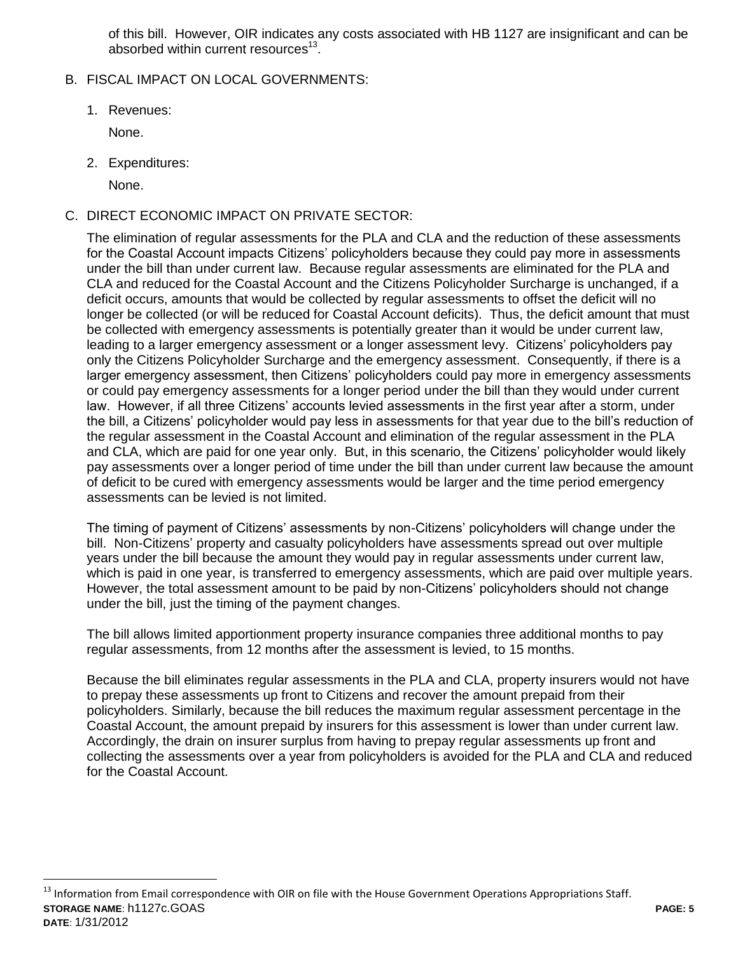of this bill. However, OIR indicates any costs associated with HB 1127 are insignificant and can be absorbed within current resources<sup>13</sup>.

- B. FISCAL IMPACT ON LOCAL GOVERNMENTS:
	- 1. Revenues:

None.

2. Expenditures:

None.

 $\overline{a}$ 

C. DIRECT ECONOMIC IMPACT ON PRIVATE SECTOR:

The elimination of regular assessments for the PLA and CLA and the reduction of these assessments for the Coastal Account impacts Citizens' policyholders because they could pay more in assessments under the bill than under current law. Because regular assessments are eliminated for the PLA and CLA and reduced for the Coastal Account and the Citizens Policyholder Surcharge is unchanged, if a deficit occurs, amounts that would be collected by regular assessments to offset the deficit will no longer be collected (or will be reduced for Coastal Account deficits). Thus, the deficit amount that must be collected with emergency assessments is potentially greater than it would be under current law, leading to a larger emergency assessment or a longer assessment levy. Citizens' policyholders pay only the Citizens Policyholder Surcharge and the emergency assessment. Consequently, if there is a larger emergency assessment, then Citizens' policyholders could pay more in emergency assessments or could pay emergency assessments for a longer period under the bill than they would under current law. However, if all three Citizens' accounts levied assessments in the first year after a storm, under the bill, a Citizens' policyholder would pay less in assessments for that year due to the bill's reduction of the regular assessment in the Coastal Account and elimination of the regular assessment in the PLA and CLA, which are paid for one year only. But, in this scenario, the Citizens' policyholder would likely pay assessments over a longer period of time under the bill than under current law because the amount of deficit to be cured with emergency assessments would be larger and the time period emergency assessments can be levied is not limited.

The timing of payment of Citizens' assessments by non-Citizens' policyholders will change under the bill. Non-Citizens' property and casualty policyholders have assessments spread out over multiple years under the bill because the amount they would pay in regular assessments under current law, which is paid in one year, is transferred to emergency assessments, which are paid over multiple years. However, the total assessment amount to be paid by non-Citizens' policyholders should not change under the bill, just the timing of the payment changes.

The bill allows limited apportionment property insurance companies three additional months to pay regular assessments, from 12 months after the assessment is levied, to 15 months.

Because the bill eliminates regular assessments in the PLA and CLA, property insurers would not have to prepay these assessments up front to Citizens and recover the amount prepaid from their policyholders. Similarly, because the bill reduces the maximum regular assessment percentage in the Coastal Account, the amount prepaid by insurers for this assessment is lower than under current law. Accordingly, the drain on insurer surplus from having to prepay regular assessments up front and collecting the assessments over a year from policyholders is avoided for the PLA and CLA and reduced for the Coastal Account.

**STORAGE NAME**: h1127c.GOAS **PAGE: 5 DATE**: 1/31/2012 <sup>13</sup> Information from Email correspondence with OIR on file with the House Government Operations Appropriations Staff.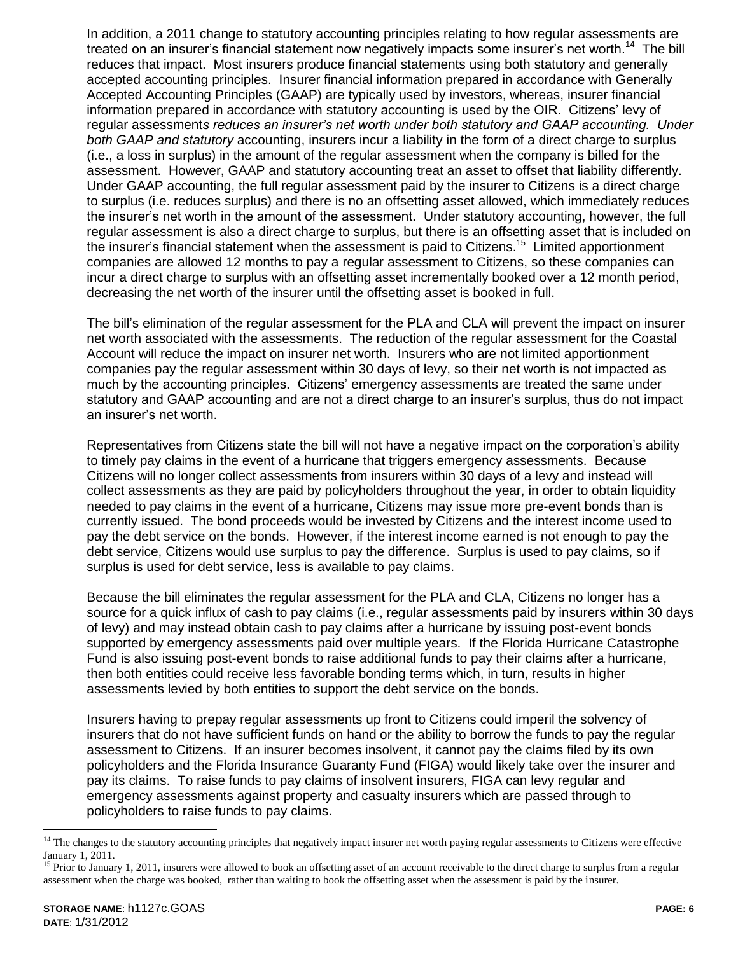In addition, a 2011 change to statutory accounting principles relating to how regular assessments are treated on an insurer's financial statement now negatively impacts some insurer's net worth.<sup>14</sup> The bill reduces that impact. Most insurers produce financial statements using both statutory and generally accepted accounting principles. Insurer financial information prepared in accordance with Generally Accepted Accounting Principles (GAAP) are typically used by investors, whereas, insurer financial information prepared in accordance with statutory accounting is used by the OIR. Citizens' levy of regular assessment*s reduces an insurer's net worth under both statutory and GAAP accounting. Under both GAAP and statutory* accounting, insurers incur a liability in the form of a direct charge to surplus (i.e., a loss in surplus) in the amount of the regular assessment when the company is billed for the assessment. However, GAAP and statutory accounting treat an asset to offset that liability differently. Under GAAP accounting, the full regular assessment paid by the insurer to Citizens is a direct charge to surplus (i.e. reduces surplus) and there is no an offsetting asset allowed, which immediately reduces the insurer's net worth in the amount of the assessment. Under statutory accounting, however, the full regular assessment is also a direct charge to surplus, but there is an offsetting asset that is included on the insurer's financial statement when the assessment is paid to Citizens.<sup>15</sup> Limited apportionment companies are allowed 12 months to pay a regular assessment to Citizens, so these companies can incur a direct charge to surplus with an offsetting asset incrementally booked over a 12 month period, decreasing the net worth of the insurer until the offsetting asset is booked in full.

The bill's elimination of the regular assessment for the PLA and CLA will prevent the impact on insurer net worth associated with the assessments. The reduction of the regular assessment for the Coastal Account will reduce the impact on insurer net worth. Insurers who are not limited apportionment companies pay the regular assessment within 30 days of levy, so their net worth is not impacted as much by the accounting principles. Citizens' emergency assessments are treated the same under statutory and GAAP accounting and are not a direct charge to an insurer's surplus, thus do not impact an insurer's net worth.

Representatives from Citizens state the bill will not have a negative impact on the corporation's ability to timely pay claims in the event of a hurricane that triggers emergency assessments. Because Citizens will no longer collect assessments from insurers within 30 days of a levy and instead will collect assessments as they are paid by policyholders throughout the year, in order to obtain liquidity needed to pay claims in the event of a hurricane, Citizens may issue more pre-event bonds than is currently issued. The bond proceeds would be invested by Citizens and the interest income used to pay the debt service on the bonds. However, if the interest income earned is not enough to pay the debt service, Citizens would use surplus to pay the difference. Surplus is used to pay claims, so if surplus is used for debt service, less is available to pay claims.

Because the bill eliminates the regular assessment for the PLA and CLA, Citizens no longer has a source for a quick influx of cash to pay claims (i.e., regular assessments paid by insurers within 30 days of levy) and may instead obtain cash to pay claims after a hurricane by issuing post-event bonds supported by emergency assessments paid over multiple years. If the Florida Hurricane Catastrophe Fund is also issuing post-event bonds to raise additional funds to pay their claims after a hurricane, then both entities could receive less favorable bonding terms which, in turn, results in higher assessments levied by both entities to support the debt service on the bonds.

Insurers having to prepay regular assessments up front to Citizens could imperil the solvency of insurers that do not have sufficient funds on hand or the ability to borrow the funds to pay the regular assessment to Citizens. If an insurer becomes insolvent, it cannot pay the claims filed by its own policyholders and the Florida Insurance Guaranty Fund (FIGA) would likely take over the insurer and pay its claims. To raise funds to pay claims of insolvent insurers, FIGA can levy regular and emergency assessments against property and casualty insurers which are passed through to policyholders to raise funds to pay claims.

 $\overline{a}$ 

<sup>&</sup>lt;sup>14</sup> The changes to the statutory accounting principles that negatively impact insurer net worth paying regular assessments to Citizens were effective January 1, 2011.

<sup>&</sup>lt;sup>15</sup> Prior to January 1, 2011, insurers were allowed to book an offsetting asset of an account receivable to the direct charge to surplus from a regular assessment when the charge was booked, rather than waiting to book the offsetting asset when the assessment is paid by the insurer.